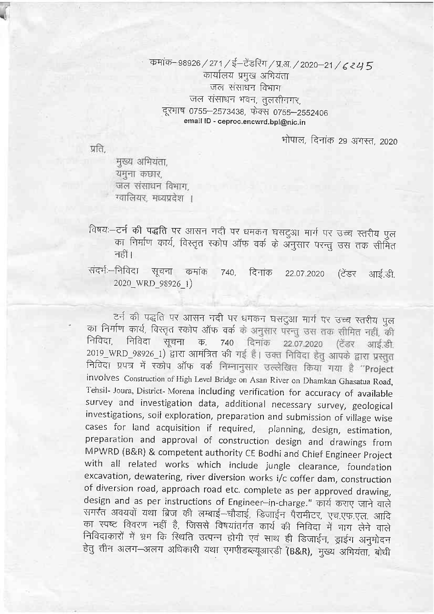## कमांक-98926 / 271 / ई-टेंडरिंग / प्र.अ. / 2020-21 / 6 245 कार्यालय प्रमुख अभियंता जल संसाधन विभाग जल संसाधन भवन, तुलसीनगर, दूरभाष 0755-2573438, फेक्स 0755-2552406 email ID - ceproc.encwrd.bpl@nic.in

भोपाल, दिनांक 29 अगस्त, 2020

प्रति.

मुख्य अभियंता, यमना कछार. जल संसाधन विभाग. ग्वालियर मध्यप्रदेश ।

- विषयः-टर्न की पद्धति पर आसन नदी पर धमकन घसदुआ मार्ग पर उच्च स्तरीय पूल का निर्माण कार्य, विस्तृत स्कोप ऑफ वर्क के अनुसार परन्तु उस तक सीमित नहीं।
- संदर्भः-निविदा - सूचना कमांक 740. दिनांक (ਟੇਂडर 22.07.2020 आई.डी. 2020 WRD 98926 1)

टर्न की पद्धति पर आसन नदी पर धमकन घसटुआ मार्ग पर उच्च स्तरीय पुल का निर्माण कार्य, विस्तृत स्कोप ऑफ वर्क के अनुसार परन्तु उस तक सीमित नहीं, की निविदा, निविदा 740 दिनांक 22.07.2020 (टेंडर आई.डी. सचना  $\overline{\Phi}$ . 2019\_WRD 98926\_1) द्वारा आमंत्रित की गई हैं। उक्त निविदा हेतू आपके द्वारा प्रस्तुत निविदा प्रपत्र में स्कोप ऑफ वर्क निम्नानुसार उल्लेखित किया गया है "Project involves Construction of High Level Bridge on Asan River on Dhamkan Ghasatua Road, Tehsil- Joura, District- Morena including verification for accuracy of available survey and investigation data, additional necessary survey, geological investigations, soil exploration, preparation and submission of village wise cases for land acquisition if required, planning, design, estimation, preparation and approval of construction design and drawings from MPWRD (B&R) & competent authority CE Bodhi and Chief Engineer Project with all related works which include jungle clearance, foundation excavation, dewatering, river diversion works i/c coffer dam, construction of diversion road, approach road etc. complete as per approved drawing, design and as per instructions of Engineer-in-charge." कार्य कराए जाने वाले समस्त अवयवों यथा ब्रिज की लम्बाई-चौडाई, डिजाईन पैरामीटर, एच.एफ.एल. आदि का स्पष्ट विवरण नहीं है, जिससे विषयांतर्गत कार्य की निविदा में भाग लेने वाले निविदाकारों में भ्रम कि स्थिति उत्पन्न होगी एवं साथ ही डिजाईन, ड्राईग अनुमोदन हेतु तीन अलग-अलग अधिकारी यथा एमपीडब्ल्यूआरडी (B&R), मुख्य अभियंता, बोधी